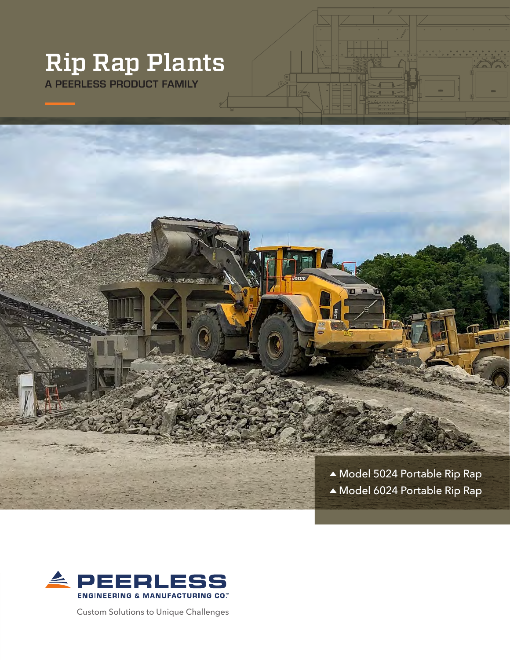# Rip Rap Plants

**A PEERLESS PRODUCT FAMILY**





Custom Solutions to Unique Challenges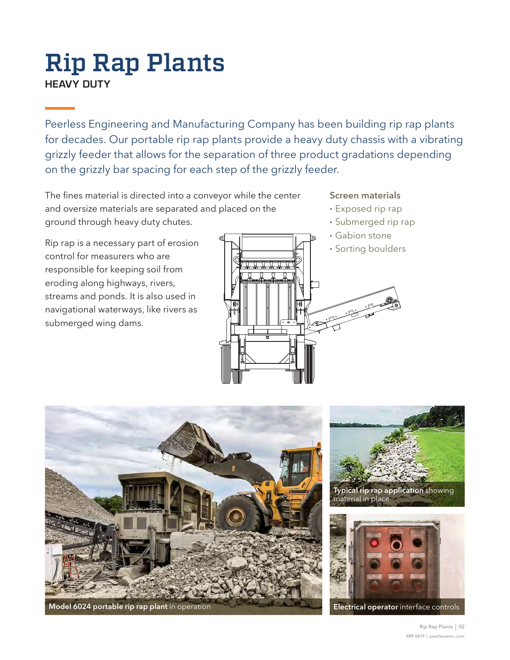# Rip Rap Plants

**HEAVY DUTY**

Peerless Engineering and Manufacturing Company has been building rip rap plants for decades. Our portable rip rap plants provide a heavy duty chassis with a vibrating grizzly feeder that allows for the separation of three product gradations depending on the grizzly bar spacing for each step of the grizzly feeder.

The fines material is directed into a conveyor while the center and oversize materials are separated and placed on the ground through heavy duty chutes.

Rip rap is a necessary part of erosion control for measurers who are responsible for keeping soil from eroding along highways, rivers, streams and ponds. It is also used in navigational waterways, like rivers as submerged wing dams.



**Screen materials** • Exposed rip rap





material in place

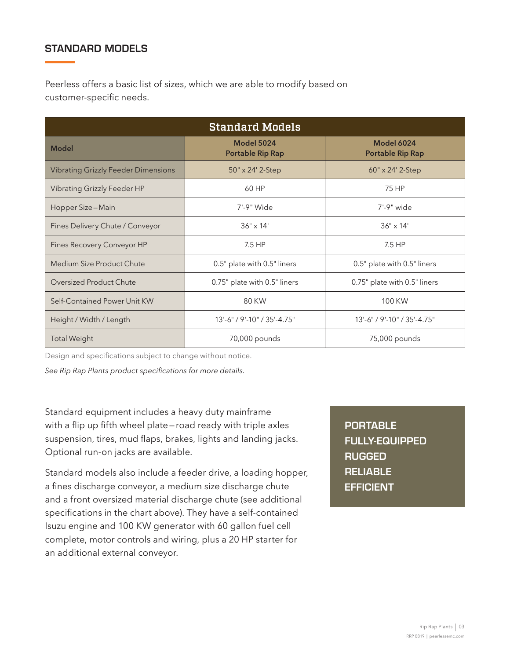## **STANDARD MODELS**

Peerless offers a basic list of sizes, which we are able to modify based on customer-specific needs.

| <b>Standard Models</b>                     |                                              |                                              |
|--------------------------------------------|----------------------------------------------|----------------------------------------------|
| <b>Model</b>                               | <b>Model 5024</b><br><b>Portable Rip Rap</b> | <b>Model 6024</b><br><b>Portable Rip Rap</b> |
| <b>Vibrating Grizzly Feeder Dimensions</b> | 50" x 24' 2-Step                             | 60" x 24' 2-Step                             |
| Vibrating Grizzly Feeder HP                | 60 HP                                        | 75 HP                                        |
| Hopper Size-Main                           | 7'-9" Wide                                   | $7'$ -9" wide                                |
| Fines Delivery Chute / Conveyor            | $36'' \times 14'$                            | $36" \times 14'$                             |
| Fines Recovery Conveyor HP                 | $7.5$ HP                                     | 7.5 HP                                       |
| Medium Size Product Chute                  | 0.5" plate with 0.5" liners                  | 0.5" plate with 0.5" liners                  |
| Oversized Product Chute                    | 0.75" plate with 0.5" liners                 | 0.75" plate with 0.5" liners                 |
| Self-Contained Power Unit KW               | 80 KW                                        | 100 KW                                       |
| Height / Width / Length                    | 13'-6" / 9'-10" / 35'-4.75"                  | 13'-6" / 9'-10" / 35'-4.75"                  |
| <b>Total Weight</b>                        | 70,000 pounds                                | 75,000 pounds                                |

Design and specifications subject to change without notice.

*See Rip Rap Plants product specifications for more details.*

Standard equipment includes a heavy duty mainframe with a flip up fifth wheel plate—road ready with triple axles suspension, tires, mud flaps, brakes, lights and landing jacks. Optional run-on jacks are available.

Standard models also include a feeder drive, a loading hopper, a fines discharge conveyor, a medium size discharge chute and a front oversized material discharge chute (see additional specifications in the chart above). They have a self-contained Isuzu engine and 100 KW generator with 60 gallon fuel cell complete, motor controls and wiring, plus a 20 HP starter for an additional external conveyor.

**PORTABLE FULLY-EQUIPPED RUGGED RELIABLE EFFICIENT**